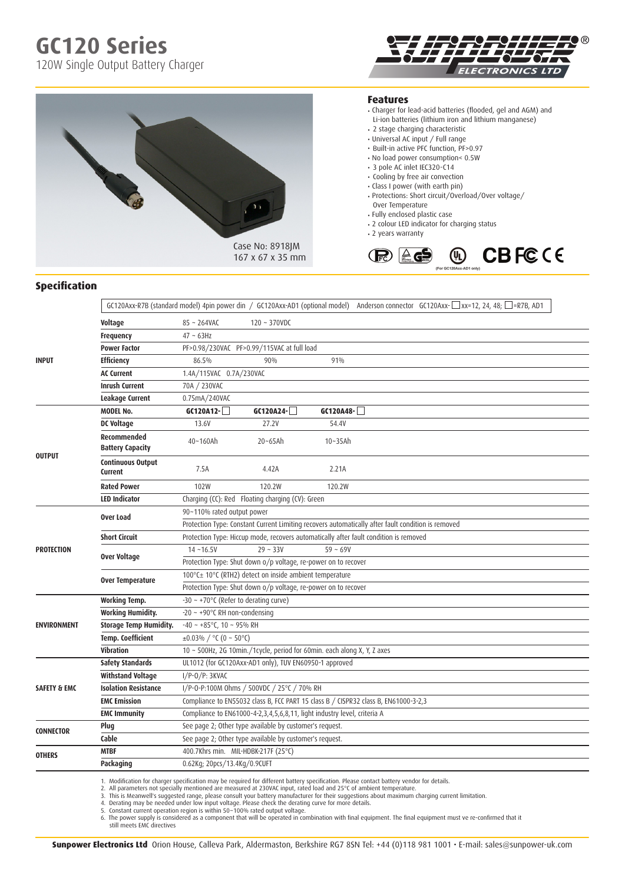**GC120 Series**

120W Single Output Battery Charger



#### **Features**

- Charger for lead-acid batteries (flooded, gel and AGM) and Li-ion batteries (lithium iron and lithium manganese)
- 2 stage charging characteristic
- Universal AC input / Full range
- Built-in active PFC function, PF>0.97
- No load power consumption< 0.5W
- 3 pole AC inlet IEC320-C14
- Cooling by free air convection
- Class I power (with earth pin)
- Protections: Short circuit/Overload/Over voltage/ Over Temperature
- Fully enclosed plastic case
- 2 colour LED indicator for charging status
- 2 years warranty



### **Specification**

|                         |                                               |                                                                                                               |                |             |  | GC120Axx-R7B (standard model) 4pin power din / GC120Axx-AD1 (optional model) Anderson connector GC120Axx- $\Box$ xx=12, 24, 48; $\Box$ =R7B, AD1 |  |
|-------------------------|-----------------------------------------------|---------------------------------------------------------------------------------------------------------------|----------------|-------------|--|--------------------------------------------------------------------------------------------------------------------------------------------------|--|
|                         | Voltage                                       | $85 - 264$ VAC                                                                                                | $120 - 370VDC$ |             |  |                                                                                                                                                  |  |
| <b>INPUT</b>            | <b>Frequency</b>                              | $47 \sim 63$ Hz                                                                                               |                |             |  |                                                                                                                                                  |  |
|                         | <b>Power Factor</b>                           | PF>0.98/230VAC PF>0.99/115VAC at full load                                                                    |                |             |  |                                                                                                                                                  |  |
|                         | <b>Efficiency</b>                             | 86.5%                                                                                                         | 90%            | 91%         |  |                                                                                                                                                  |  |
|                         | <b>AC Current</b>                             | 1.4A/115VAC 0.7A/230VAC                                                                                       |                |             |  |                                                                                                                                                  |  |
|                         | <b>Inrush Current</b>                         | 70A / 230VAC                                                                                                  |                |             |  |                                                                                                                                                  |  |
|                         | <b>Leakage Current</b>                        | 0.75mA/240VAC                                                                                                 |                |             |  |                                                                                                                                                  |  |
| <b>OUTPUT</b>           | <b>MODEL No.</b>                              | $G(120A12 - )$                                                                                                | $G(120A24 - )$ | $GC120A48-$ |  |                                                                                                                                                  |  |
|                         | DC Voltage                                    | 13.6V                                                                                                         | 27.2V          | 54.4V       |  |                                                                                                                                                  |  |
|                         | <b>Recommended</b><br><b>Battery Capacity</b> | 40~160Ah                                                                                                      | $20 - 65$ Ah   | $10-35$ Ah  |  |                                                                                                                                                  |  |
|                         | <b>Continuous Output</b><br>Current           | 7.5A                                                                                                          | 4.42A          | 2.21A       |  |                                                                                                                                                  |  |
|                         | <b>Rated Power</b>                            | 102W                                                                                                          | 120.2W         | 120.2W      |  |                                                                                                                                                  |  |
|                         | <b>LED Indicator</b>                          | Charging (CC): Red Floating charging (CV): Green                                                              |                |             |  |                                                                                                                                                  |  |
| <b>PROTECTION</b>       | Over Load                                     | 90~110% rated output power                                                                                    |                |             |  |                                                                                                                                                  |  |
|                         |                                               | Protection Type: Constant Current Limiting recovers automatically after fault condition is removed            |                |             |  |                                                                                                                                                  |  |
|                         | <b>Short Circuit</b>                          | Protection Type: Hiccup mode, recovers automatically after fault condition is removed                         |                |             |  |                                                                                                                                                  |  |
|                         | Over Voltage                                  | $14 - 16.5V$                                                                                                  | $29 - 33V$     | $59 - 69V$  |  |                                                                                                                                                  |  |
|                         | Over Temperature                              | Protection Type: Shut down o/p voltage, re-power on to recover                                                |                |             |  |                                                                                                                                                  |  |
|                         |                                               | 100°C± 10°C (RTH2) detect on inside ambient temperature                                                       |                |             |  |                                                                                                                                                  |  |
|                         | <b>Working Temp.</b>                          | Protection Type: Shut down o/p voltage, re-power on to recover<br>$-30 \sim +70$ °C (Refer to derating curve) |                |             |  |                                                                                                                                                  |  |
| <b>ENVIRONMENT</b>      | <b>Working Humidity.</b>                      | $-20 \sim +90^{\circ}$ C RH non-condensing                                                                    |                |             |  |                                                                                                                                                  |  |
|                         | <b>Storage Temp Humidity.</b>                 | $-40 \sim +85^{\circ}$ C, 10 ~ 95% RH                                                                         |                |             |  |                                                                                                                                                  |  |
|                         | <b>Temp. Coefficient</b>                      | ±0.03% / $°C (0 ~ 50°C)$                                                                                      |                |             |  |                                                                                                                                                  |  |
|                         | Vibration                                     | 10 ~ 500Hz, 2G 10min./1cycle, period for 60min. each along X, Y, Z axes                                       |                |             |  |                                                                                                                                                  |  |
|                         | <b>Safety Standards</b>                       | UL1012 (for GC120Axx-AD1 only), TUV EN60950-1 approved                                                        |                |             |  |                                                                                                                                                  |  |
| <b>SAFETY &amp; EMC</b> | <b>Withstand Voltage</b>                      | $I/P-O/P: 3KVAC$                                                                                              |                |             |  |                                                                                                                                                  |  |
|                         | <b>Isolation Resistance</b>                   | I/P-0-P:100M 0hms / 500VDC / 25°C / 70% RH                                                                    |                |             |  |                                                                                                                                                  |  |
|                         | <b>EMC Emission</b>                           | Compliance to EN55032 class B, FCC PART 15 class B / CISPR32 class B, EN61000-3-2,3                           |                |             |  |                                                                                                                                                  |  |
|                         | <b>EMC Immunity</b>                           | Compliance to EN61000-4-2,3,4,5,6,8,11, light industry level, criteria A                                      |                |             |  |                                                                                                                                                  |  |
| <b>CONNECTOR</b>        | Plug                                          | See page 2; Other type available by customer's request.                                                       |                |             |  |                                                                                                                                                  |  |
|                         | Cable                                         | See page 2; Other type available by customer's request.                                                       |                |             |  |                                                                                                                                                  |  |
| <b>OTHERS</b>           | <b>MTBF</b>                                   | 400.7Khrs min. MIL-HDBK-217F (25°C)                                                                           |                |             |  |                                                                                                                                                  |  |
|                         | Packaging                                     | 0.62Kg; 20pcs/13.4Kg/0.9CUFT                                                                                  |                |             |  |                                                                                                                                                  |  |
|                         |                                               |                                                                                                               |                |             |  |                                                                                                                                                  |  |

Case No: 8918JM 167 x 67 x 35 mm

1. Modification for charger specification may be required for different battery specification. Please contact battery vendor for details.

2. All parameters not specially mentioned are measured at 230VAC input, rated load and 25°C of ambient temperature.<br>3. This is Meanwell's suggested range, please consult your battery manufacturer for their suggestions abou

**Sunpower Electronics Ltd** Orion House, Calleva Park, Aldermaston, Berkshire RG7 8SN Tel: +44 (0)118 981 1001 • E-mail: sales@sunpower-uk.com